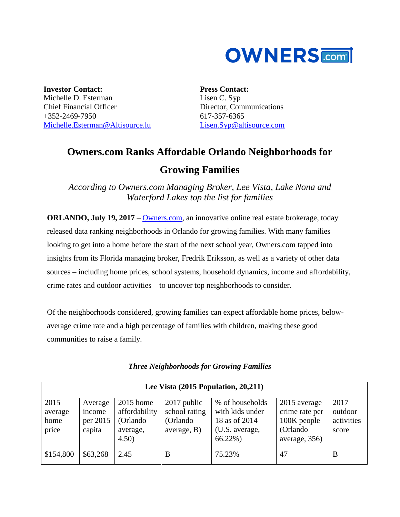

**Investor Contact:** Michelle D. Esterman Chief Financial Officer  $+352-2469-7950$ [Michelle.Esterman@Altisource.lu](mailto:Michelle.Esterman@Altisource.lu) **Press Contact:** Lisen C. Syp Director, Communications 617-357-6365 [Lisen.Syp@altisource.com](mailto:Lisen.Syp@altisource.com)

## **Owners.com Ranks Affordable Orlando Neighborhoods for Growing Families**

*According to Owners.com Managing Broker, Lee Vista, Lake Nona and Waterford Lakes top the list for families*

**ORLANDO, July 19, 2017** – [Owners.com,](https://www.owners.com/?utm_source=pr&utm_medium=pr&utm_campaign=growingfamiliesorlando&utm_content=first) an innovative online real estate brokerage, today released data ranking neighborhoods in Orlando for growing families. With many families looking to get into a home before the start of the next school year, Owners.com tapped into insights from its Florida managing broker, Fredrik Eriksson, as well as a variety of other data sources – including home prices, school systems, household dynamics, income and affordability, crime rates and outdoor activities – to uncover top neighborhoods to consider.

Of the neighborhoods considered, growing families can expect affordable home prices, belowaverage crime rate and a high percentage of families with children, making these good communities to raise a family.

| Lee Vista $(2015$ Population, $20,211$ ) |                                         |                                                              |                                                          |                                                                                    |                                                                             |                                        |  |
|------------------------------------------|-----------------------------------------|--------------------------------------------------------------|----------------------------------------------------------|------------------------------------------------------------------------------------|-----------------------------------------------------------------------------|----------------------------------------|--|
| 2015<br>average<br>home<br>price         | Average<br>income<br>per 2015<br>capita | 2015 home<br>affordability<br>(Orlando)<br>average,<br>4.50) | 2017 public<br>school rating<br>(Orlando)<br>average, B) | % of households<br>with kids under<br>18 as of 2014<br>(U.S. average,<br>$66.22\%$ | 2015 average<br>crime rate per<br>100K people<br>(Orlando)<br>average, 356) | 2017<br>outdoor<br>activities<br>score |  |
| \$154,800                                | \$63,268                                | 2.45                                                         | B                                                        | 75.23%                                                                             | 47                                                                          | B                                      |  |

*Three Neighborhoods for Growing Families*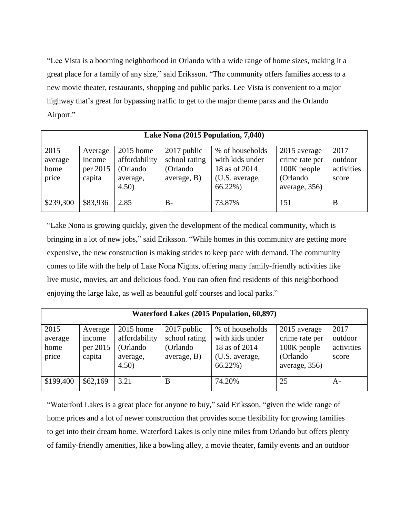"Lee Vista is a booming neighborhood in Orlando with a wide range of home sizes, making it a great place for a family of any size," said Eriksson. "The community offers families access to a new movie theater, restaurants, shopping and public parks. Lee Vista is convenient to a major highway that's great for bypassing traffic to get to the major theme parks and the Orlando Airport."

| Lake Nona (2015 Population, 7,040) |                                         |                                                               |                                                          |                                                                                    |                                                                             |                                        |  |  |
|------------------------------------|-----------------------------------------|---------------------------------------------------------------|----------------------------------------------------------|------------------------------------------------------------------------------------|-----------------------------------------------------------------------------|----------------------------------------|--|--|
| 2015<br>average<br>home<br>price   | Average<br>income<br>per 2015<br>capita | $2015$ home<br>affordability<br>(Orlando<br>average,<br>4.50) | 2017 public<br>school rating<br>(Orlando)<br>average, B) | % of households<br>with kids under<br>18 as of 2014<br>(U.S. average,<br>$66.22\%$ | 2015 average<br>crime rate per<br>100K people<br>(Orlando)<br>average, 356) | 2017<br>outdoor<br>activities<br>score |  |  |
| \$239,300                          | \$83,936                                | 2.85                                                          | $B-$                                                     | 73.87%                                                                             | 151                                                                         | B                                      |  |  |

"Lake Nona is growing quickly, given the development of the medical community, which is bringing in a lot of new jobs," said Eriksson. "While homes in this community are getting more expensive, the new construction is making strides to keep pace with demand. The community comes to life with the help of Lake Nona Nights, offering many family-friendly activities like live music, movies, art and delicious food. You can often find residents of this neighborhood enjoying the large lake, as well as beautiful golf courses and local parks."

| Waterford Lakes (2015 Population, 60,897) |                                         |                                                                |                                                            |                                                                                    |                                                                             |                                        |  |  |
|-------------------------------------------|-----------------------------------------|----------------------------------------------------------------|------------------------------------------------------------|------------------------------------------------------------------------------------|-----------------------------------------------------------------------------|----------------------------------------|--|--|
| 2015<br>average<br>home<br>price          | Average<br>income<br>per 2015<br>capita | $2015$ home<br>affordability<br>(Orlando)<br>average,<br>4.50) | $2017$ public<br>school rating<br>(Orlando)<br>average, B) | % of households<br>with kids under<br>18 as of 2014<br>(U.S. average,<br>$66.22\%$ | 2015 average<br>crime rate per<br>100K people<br>(Orlando)<br>average, 356) | 2017<br>outdoor<br>activities<br>score |  |  |
| \$199,400                                 | \$62,169                                | 3.21                                                           | B                                                          | 74.20%                                                                             | 25                                                                          | $A-$                                   |  |  |

"Waterford Lakes is a great place for anyone to buy," said Eriksson, "given the wide range of home prices and a lot of newer construction that provides some flexibility for growing families to get into their dream home. Waterford Lakes is only nine miles from Orlando but offers plenty of family-friendly amenities, like a bowling alley, a movie theater, family events and an outdoor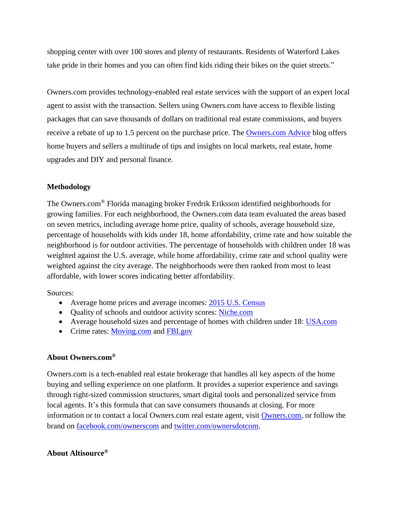shopping center with over 100 stores and plenty of restaurants. Residents of Waterford Lakes take pride in their homes and you can often find kids riding their bikes on the quiet streets."

Owners.com provides technology-enabled real estate services with the support of an expert local agent to assist with the transaction. Sellers using Owners.com have access to flexible listing packages that can save thousands of dollars on traditional real estate commissions, and buyers receive a rebate of up to 1.5 percent on the purchase price. The [Owners.com](http://www.owners.com/advice/?utm_source=pr&utm_medium=pr&utm_campaign=growingfamiliesorlandoadvice&utm_content=first) Advice blog offers home buyers and sellers a multitude of tips and insights on local markets, real estate, home upgrades and DIY and personal finance.

## **Methodology**

The Owners.com® Florida managing broker Fredrik Eriksson identified neighborhoods for growing families. For each neighborhood, the Owners.com data team evaluated the areas based on seven metrics, including average home price, quality of schools, average household size, percentage of households with kids under 18, home affordability, crime rate and how suitable the neighborhood is for outdoor activities. The percentage of households with children under 18 was weighted against the U.S. average, while home affordability, crime rate and school quality were weighted against the city average. The neighborhoods were then ranked from most to least affordable, with lower scores indicating better affordability.

Sources:

- Average home prices and average incomes: 2015 U.S. [Census](https://www.census.gov/programs-surveys/acs/)
- Quality of schools and outdoor activity scores: [Niche.com](https://www.niche.com/)
- Average household sizes and percentage of homes with children under 18: [USA.com](http://www.usa.com/)
- Crime rates: [Moving.com](http://www.moving.com/real-estate/explore-cities-neighborhoods.asp) and [FBI.gov](https://www.fbi.gov/)

## **About Owners.com®**

Owners.com is a tech-enabled real estate brokerage that handles all key aspects of the home buying and selling experience on one platform. It provides a superior experience and savings through right-sized commission structures, smart digital tools and personalized service from local agents. It's this formula that can save consumers thousands at closing. For more information or to contact a local Owners.com real estate agent, visit [Owners.com,](https://www.owners.com/?utm_source=pr&utm_medium=pr&utm_campaign=growingfamiliesorlando&utm_content=first) or follow the brand on [facebook.com/ownerscom](https://www.facebook.com/ownerscom/?ref=bookmarks&utm_source=pr&utm_medium=pr&utm_campaign=growingfamiliesorlando&utm_content=first) and [twitter.com/ownersdotcom.](https://twitter.com/ownersdotcom?utm_source=pr&utm_medium=pr&utm_campaign=growingfamiliesorlando&utm_content=first)

## **About Altisource®**